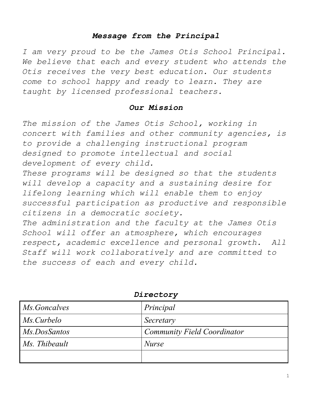# *Message from the Principal*

*I am very proud to be the James Otis School Principal. We believe that each and every student who attends the Otis receives the very best education. Our students come to school happy and ready to learn. They are taught by licensed professional teachers.*

#### *Our Mission*

*The mission of the James Otis School, working in concert with families and other community agencies, is to provide a challenging instructional program designed to promote intellectual and social development of every child.*

*These programs will be designed so that the students will develop a capacity and a sustaining desire for lifelong learning which will enable them to enjoy successful participation as productive and responsible citizens in a democratic society.*

*The administration and the faculty at the James Otis School will offer an atmosphere, which encourages respect, academic excellence and personal growth. All Staff will work collaboratively and are committed to the success of each and every child.*

| <i>Ms.Goncalves</i> | Principal                          |  |
|---------------------|------------------------------------|--|
| <i>Ms.Curbelo</i>   | Secretary                          |  |
| Ms.DosSantos        | <b>Community Field Coordinator</b> |  |
| Ms. Thibeault       | <i>Nurse</i>                       |  |
|                     |                                    |  |

*Directory*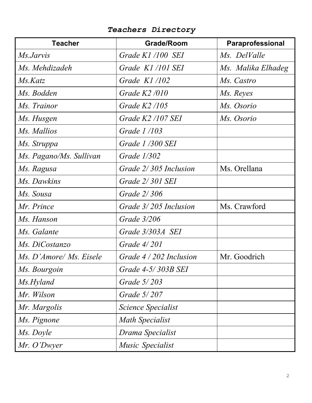| <b>Teacher</b>          | <b>Grade/Room</b>         | Paraprofessional   |
|-------------------------|---------------------------|--------------------|
| <i>Ms.Jarvis</i>        | Grade K1 /100 SEI         | Ms. DelValle       |
| Ms. Mehdizadeh          | Grade K1/101 SEI          | Ms. Malika Elhadeg |
| Ms.Katz                 | Grade K1/102              | Ms. Castro         |
| Ms. Bodden              | Grade $K2/010$            | Ms. Reyes          |
| Ms. Trainor             | Grade $K2/105$            | Ms. Osorio         |
| Ms. Husgen              | Grade K2 /107 SEI         | Ms. Osorio         |
| Ms. Mallios             | Grade 1/103               |                    |
| Ms. Struppa             | Grade 1/300 SEI           |                    |
| Ms. Pagano/Ms. Sullivan | <i>Grade 1/302</i>        |                    |
| Ms. Ragusa              | Grade 2/305 Inclusion     | Ms. Orellana       |
| Ms. Dawkins             | Grade 2/301 SEI           |                    |
| Ms. Sousa               | <i>Grade 2/306</i>        |                    |
| Mr. Prince              | Grade 3/205 Inclusion     | Ms. Crawford       |
| Ms. Hanson              | Grade 3/206               |                    |
| Ms. Galante             | Grade 3/303A SEI          |                    |
| Ms. DiCostanzo          | Grade $4/201$             |                    |
| Ms. D'Amore/ Ms. Eisele | Grade $4/202$ Inclusion   | Mr. Goodrich       |
| Ms. Bourgoin            | Grade 4-5/303B SEI        |                    |
| Ms.Hyland               | Grade 5/203               |                    |
| Mr. Wilson              | Grade 5/207               |                    |
| Mr. Margolis            | <i>Science Specialist</i> |                    |
| Ms. Pignone             | <b>Math Specialist</b>    |                    |
| Ms. Doyle               | Drama Specialist          |                    |
| Mr. O'Dwyer             | Music Specialist          |                    |

*Teachers Directory*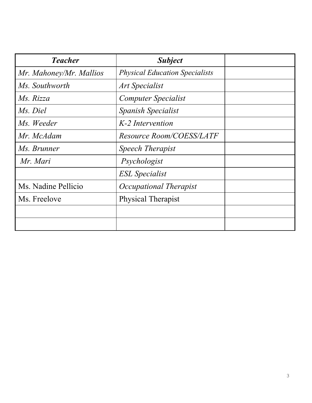| <b>Teacher</b>          | <b>Subject</b>                        |  |
|-------------------------|---------------------------------------|--|
| Mr. Mahoney/Mr. Mallios | <b>Physical Education Specialists</b> |  |
| Ms. Southworth          | Art Specialist                        |  |
| Ms. Rizza               | <b>Computer Specialist</b>            |  |
| Ms. Diel                | Spanish Specialist                    |  |
| Ms. Weeder              | K-2 Intervention                      |  |
| Mr. McAdam              | <b>Resource Room/COESS/LATF</b>       |  |
| Ms. Brunner             | <b>Speech Therapist</b>               |  |
| Mr. Mari                | Psychologist                          |  |
|                         | <b>ESL</b> Specialist                 |  |
| Ms. Nadine Pellicio     | Occupational Therapist                |  |
| Ms. Freelove            | Physical Therapist                    |  |
|                         |                                       |  |
|                         |                                       |  |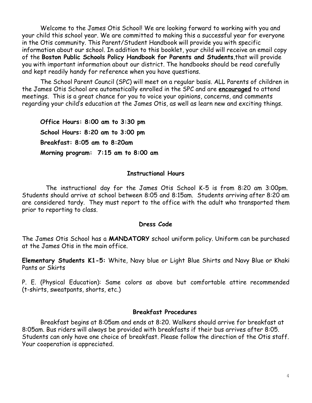Welcome to the James Otis School! We are looking forward to working with you and your child this school year. We are committed to making this a successful year for everyone in the Otis community. This Parent/Student Handbook will provide you with specific information about our school. In addition to this booklet, your child will receive an email copy of the **Boston Public Schools Policy Handbook for Parents and Students**,that will provide you with important information about our district. The handbooks should be read carefully and kept readily handy for reference when you have questions.

The School Parent Council (SPC) will meet on a regular basis. ALL Parents of children in the James Otis School are automatically enrolled in the SPC and are **encouraged** to attend meetings. This is a great chance for you to voice your opinions, concerns, and comments regarding your child's education at the James Otis, as well as learn new and exciting things.

**Office Hours: 8:00 am to 3:30 pm School Hours: 8:20 am to 3:00 pm Breakfast: 8:05 am to 8:20am Morning program: 7:15 am to 8:00 am**

#### **Instructional Hours**

 The instructional day for the James Otis School K-5 is from 8:20 am 3:00pm. Students should arrive at school between 8:05 and 8:15am. Students arriving after 8:20 am are considered tardy. They must report to the office with the adult who transported them prior to reporting to class.

#### **Dress Code**

The James Otis School has a **MANDATORY** school uniform policy. Uniform can be purchased at the James Otis in the main office.

**Elementary Students K1-5:** White, Navy blue or Light Blue Shirts and Navy Blue or Khaki Pants or Skirts

P. E. (Physical Education): Same colors as above but comfortable attire recommended (t-shirts, sweatpants, shorts, etc.)

#### **Breakfast Procedures**

Breakfast begins at 8:05am and ends at 8:20. Walkers should arrive for breakfast at 8:05am. Bus riders will always be provided with breakfasts if their bus arrives after 8:05. Students can only have one choice of breakfast. Please follow the direction of the Otis staff. Your cooperation is appreciated.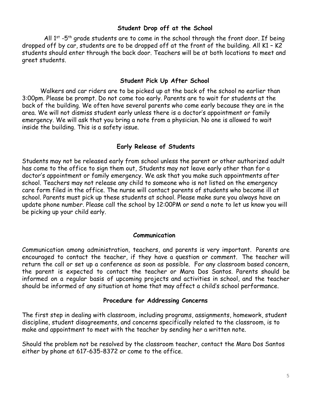## **Student Drop off at the School**

All  $1^{st}$  -5<sup>th</sup> grade students are to come in the school through the front door. If being dropped off by car, students are to be dropped off at the front of the building. All K1 – K2 students should enter through the back door. Teachers will be at both locations to meet and greet students.

## **Student Pick Up After School**

Walkers and car riders are to be picked up at the back of the school no earlier than 3:00pm. Please be prompt. Do not come too early. Parents are to wait for students at the back of the building. We often have several parents who come early because they are in the area. We will not dismiss student early unless there is a doctor's appointment or family emergency. We will ask that you bring a note from a physician. No one is allowed to wait inside the building. This is a safety issue.

# **Early Release of Students**

Students may not be released early from school unless the parent or other authorized adult has come to the office to sign them out, Students may not leave early other than for a doctor's appointment or family emergency. We ask that you make such appointments after school. Teachers may not release any child to someone who is not listed on the emergency care form filed in the office. The nurse will contact parents of students who become ill at school. Parents must pick up these students at school. Please make sure you always have an update phone number. Please call the school by 12:00PM or send a note to let us know you will be picking up your child early.

### **Communication**

Communication among administration, teachers, and parents is very important. Parents are encouraged to contact the teacher, if they have a question or comment. The teacher will return the call or set up a conference as soon as possible. For any classroom based concern, the parent is expected to contact the teacher or Mara Dos Santos. Parents should be informed on a regular basis of upcoming projects and activities in school, and the teacher should be informed of any situation at home that may affect a child's school performance.

### **Procedure for Addressing Concerns**

The first step in dealing with classroom, including programs, assignments, homework, student discipline, student disagreements, and concerns specifically related to the classroom, is to make and appointment to meet with the teacher by sending her a written note.

Should the problem not be resolved by the classroom teacher, contact the Mara Dos Santos either by phone at 617-635-8372 or come to the office.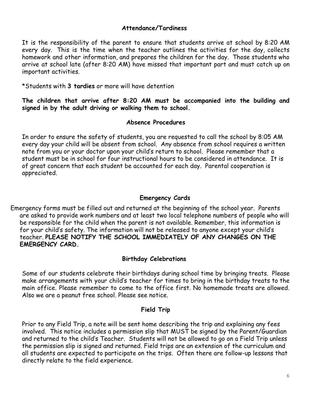#### **Attendance/Tardiness**

It is the responsibility of the parent to ensure that students arrive at school by 8:20 AM every day. This is the time when the teacher outlines the activities for the day, collects homework and other information, and prepares the children for the day. Those students who arrive at school late (after 8:20 AM) have missed that important part and must catch up on important activities.

\*Students with **3 tardies** or more will have detention

**The children that arrive after 8:20 AM must be accompanied into the building and signed in by the adult driving or walking them to school.**

#### **Absence Procedures**

In order to ensure the safety of students, you are requested to call the school by 8:05 AM every day your child will be absent from school. Any absence from school requires a written note from you or your doctor upon your child's return to school. Please remember that a student must be in school for four instructional hours to be considered in attendance. It is of great concern that each student be accounted for each day. Parental cooperation is appreciated.

#### **Emergency Cards**

Emergency forms must be filled out and returned at the beginning of the school year. Parents are asked to provide work numbers and at least two local telephone numbers of people who will be responsible for the child when the parent is not available. Remember, this information is for your child's safety. The information will not be released to anyone except your child's teacher. **PLEASE NOTIFY THE SCHOOL IMMEDIATELY OF ANY CHANGES ON THE EMERGENCY CARD.**

#### **Birthday Celebrations**

Some of our students celebrate their birthdays during school time by bringing treats. Please make arrangements with your child's teacher for times to bring in the birthday treats to the main office. Please remember to come to the office first. No homemade treats are allowed. Also we are a peanut free school. Please see notice.

#### **Field Trip**

Prior to any Field Trip, a note will be sent home describing the trip and explaining any fees involved. This notice includes a permission slip that MUST be signed by the Parent/Guardian and returned to the child's Teacher. Students will not be allowed to go on a Field Trip unless the permission slip is signed and returned. Field trips are an extension of the curriculum and all students are expected to participate on the trips. Often there are follow-up lessons that directly relate to the field experience.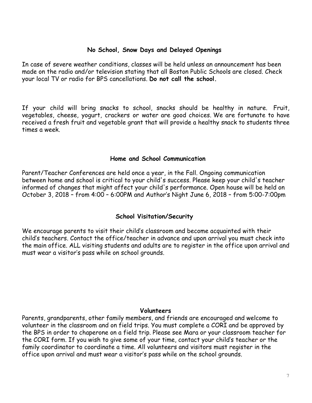### **No School, Snow Days and Delayed Openings**

In case of severe weather conditions, classes will be held unless an announcement has been made on the radio and/or television stating that all Boston Public Schools are closed. Check your local TV or radio for BPS cancellations. **Do not call the school.**

If your child will bring snacks to school, snacks should be healthy in nature. Fruit, vegetables, cheese, yogurt, crackers or water are good choices. We are fortunate to have received a fresh fruit and vegetable grant that will provide a healthy snack to students three times a week.

#### **Home and School Communication**

Parent/Teacher Conferences are held once a year, in the Fall. Ongoing communication between home and school is critical to your child's success. Please keep your child's teacher informed of changes that might affect your child's performance. Open house will be held on October 3, 2018 – from 4:00 – 6:00PM and Author's Night June 6, 2018 – from 5:00-7:00pm

### **School Visitation/Security**

We encourage parents to visit their child's classroom and become acquainted with their child's teachers. Contact the office/teacher in advance and upon arrival you must check into the main office. ALL visiting students and adults are to register in the office upon arrival and must wear a visitor's pass while on school grounds.

#### **Volunteers**

Parents, grandparents, other family members, and friends are encouraged and welcome to volunteer in the classroom and on field trips. You must complete a CORI and be approved by the BPS in order to chaperone on a field trip. Please see Mara or your classroom teacher for the CORI form. If you wish to give some of your time, contact your child's teacher or the family coordinator to coordinate a time. All volunteers and visitors must register in the office upon arrival and must wear a visitor's pass while on the school grounds.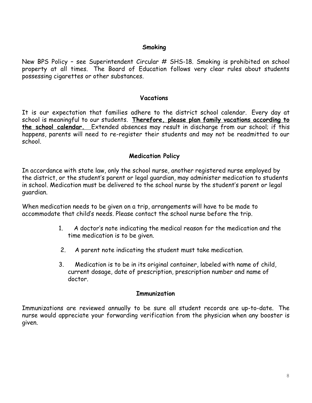#### **Smoking**

New BPS Policy - see Superintendent Circular # SHS-18. Smoking is prohibited on school property at all times. The Board of Education follows very clear rules about students possessing cigarettes or other substances.

#### **Vacations**

It is our expectation that families adhere to the district school calendar. Every day at school is meaningful to our students. **Therefore, please plan family vacations according to the school calendar.**  Extended absences may result in discharge from our school; if this happens, parents will need to re-register their students and may not be readmitted to our school.

#### **Medication Policy**

In accordance with state law, only the school nurse, another registered nurse employed by the district, or the student's parent or legal guardian, may administer medication to students in school. Medication must be delivered to the school nurse by the student's parent or legal guardian.

When medication needs to be given on a trip, arrangements will have to be made to accommodate that child's needs. Please contact the school nurse before the trip.

- 1. A doctor's note indicating the medical reason for the medication and the time medication is to be given.
- 2. A parent note indicating the student must take medication.
- 3. Medication is to be in its original container, labeled with name of child, current dosage, date of prescription, prescription number and name of doctor.

#### **Immunization**

Immunizations are reviewed annually to be sure all student records are up-to-date. The nurse would appreciate your forwarding verification from the physician when any booster is given.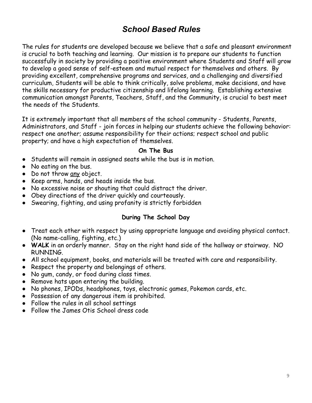# *School Based Rules*

The rules for students are developed because we believe that a safe and pleasant environment is crucial to both teaching and learning. Our mission is to prepare our students to function successfully in society by providing a positive environment where Students and Staff will grow to develop a good sense of self-esteem and mutual respect for themselves and others. By providing excellent, comprehensive programs and services, and a challenging and diversified curriculum, Students will be able to think critically, solve problems, make decisions, and have the skills necessary for productive citizenship and lifelong learning. Establishing extensive communication amongst Parents, Teachers, Staff, and the Community, is crucial to best meet the needs of the Students.

It is extremely important that all members of the school community - Students, Parents, Administrators, and Staff - join forces in helping our students achieve the following behavior: respect one another; assume responsibility for their actions; respect school and public property; and have a high expectation of themselves.

#### **On The Bus**

- Students will remain in assigned seats while the bus is in motion.
- No eating on the bus.
- Do not throw any object.
- Keep arms, hands, and heads inside the bus.
- No excessive noise or shouting that could distract the driver.
- Obey directions of the driver quickly and courteously.
- Swearing, fighting, and using profanity is strictly forbidden

# **During The School Day**

- Treat each other with respect by using appropriate language and avoiding physical contact. (No name-calling, fighting, etc.)
- **WALK** in an orderly manner. Stay on the right hand side of the hallway or stairway. NO RUNNING.
- All school equipment, books, and materials will be treated with care and responsibility.
- Respect the property and belongings of others.
- No gum, candy, or food during class times.
- Remove hats upon entering the building.
- No phones, IPODs, headphones, toys, electronic games, Pokemon cards, etc.
- Possession of any dangerous item is prohibited.
- Follow the rules in all school settings
- Follow the James Otis School dress code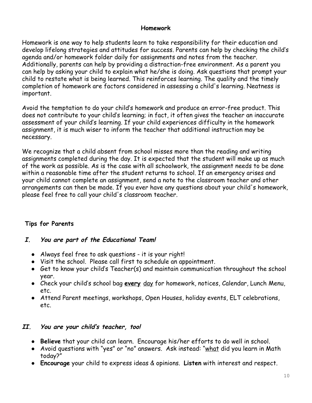### **Homework**

Homework is one way to help students learn to take responsibility for their education and develop lifelong strategies and attitudes for success. Parents can help by checking the child's agenda and/or homework folder daily for assignments and notes from the teacher. Additionally, parents can help by providing a distraction-free environment. As a parent you can help by asking your child to explain what he/she is doing. Ask questions that prompt your child to restate what is being learned. This reinforces learning. The quality and the timely completion of homework are factors considered in assessing a child's learning. Neatness is important.

Avoid the temptation to do your child's homework and produce an error-free product. This does not contribute to your child's learning; in fact, it often gives the teacher an inaccurate assessment of your child's learning. If your child experiences difficulty in the homework assignment, it is much wiser to inform the teacher that additional instruction may be necessary.

We recognize that a child absent from school misses more than the reading and writing assignments completed during the day. It is expected that the student will make up as much of the work as possible. As is the case with all schoolwork, the assignment needs to be done within a reasonable time after the student returns to school. If an emergency arises and your child cannot complete an assignment, send a note to the classroom teacher and other arrangements can then be made. If you ever have any questions about your child's homework, please feel free to call your child's classroom teacher.

# **Tips for Parents**

# **I. You are part of the Educational Team!**

- Always feel free to ask questions it is your right!
- Visit the school. Please call first to schedule an appointment.
- Get to know your child's Teacher(s) and maintain communication throughout the school year.
- Check your child's school bag **every** day for homework, notices, Calendar, Lunch Menu, etc.
- Attend Parent meetings, workshops, Open Houses, holiday events, ELT celebrations, etc.

# **II. You are your child's teacher, too!**

- **Believe** that your child can learn. Encourage his/her efforts to do well in school.
- Avoid questions with "yes" or "no" answers. Ask instead: "what did you learn in Math today?"
- **Encourage** your child to express ideas & opinions. **Listen** with interest and respect.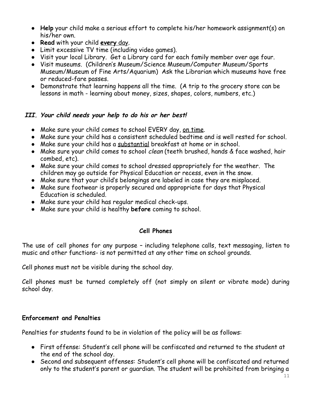- **Help** your child make a serious effort to complete his/her homework assignment(s) on his/her own.
- **Read** with your child **every** day.
- Limit excessive TV time (including video games).
- Visit your local Library. Get a Library card for each family member over age four.
- Visit museums. (Children's Museum/Science Museum/Computer Museum/Sports Museum/Museum of Fine Arts/Aquarium) Ask the Librarian which museums have free or reduced-fare passes.
- Demonstrate that learning happens all the time. (A trip to the grocery store can be lessons in math - learning about money, sizes, shapes, colors, numbers, etc.)

# **III. Your child needs your help to do his or her best!**

- Make sure your child comes to school EVERY day, on time.
- Make sure your child has a consistent scheduled bedtime and is well rested for school.
- Make sure your child has a substantial breakfast at home or in school.
- Make sure your child comes to school *clean* (teeth brushed, hands & face washed, hair combed, etc).
- Make sure your child comes to school dressed appropriately for the weather. The children may go outside for Physical Education or recess, even in the snow.
- Make sure that your child's belongings are labeled in case they are misplaced.
- Make sure footwear is properly secured and appropriate for days that Physical Education is scheduled.
- Make sure your child has regular medical check-ups.
- Make sure your child is healthy **before** coming to school.

# **Cell Phones**

The use of cell phones for any purpose – including telephone calls, text messaging, listen to music and other functions- is not permitted at any other time on school grounds.

Cell phones must not be visible during the school day.

Cell phones must be turned completely off (not simply on silent or vibrate mode) during school day.

# **Enforcement and Penalties**

Penalties for students found to be in violation of the policy will be as follows:

- First offense: Student's cell phone will be confiscated and returned to the student at the end of the school day.
- Second and subsequent offenses: Student's cell phone will be confiscated and returned only to the student's parent or guardian. The student will be prohibited from bringing a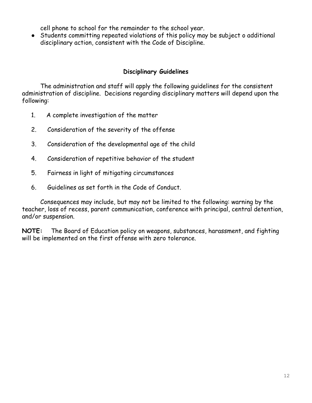cell phone to school for the remainder to the school year.

● Students committing repeated violations of this policy may be subject o additional disciplinary action, consistent with the Code of Discipline.

# **Disciplinary Guidelines**

The administration and staff will apply the following guidelines for the consistent administration of discipline. Decisions regarding disciplinary matters will depend upon the following:

- 1. A complete investigation of the matter
- 2. Consideration of the severity of the offense
- 3. Consideration of the developmental age of the child
- 4. Consideration of repetitive behavior of the student
- 5. Fairness in light of mitigating circumstances
- 6. Guidelines as set forth in the Code of Conduct.

Consequences may include, but may not be limited to the following: warning by the teacher, loss of recess, parent communication, conference with principal, central detention, and/or suspension.

**NOTE:** The Board of Education policy on weapons, substances, harassment, and fighting will be implemented on the first offense with zero tolerance.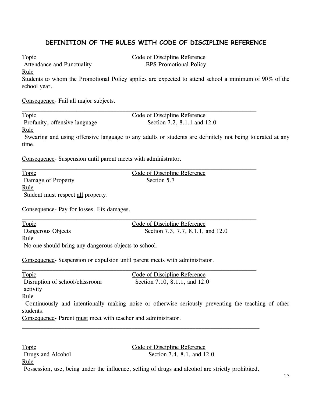# **DEFINITION OF THE RULES WITH CODE OF DISCIPLINE REFERENCE**

Attendance and Punctuality BPS Promotional Policy

Topic Code of Discipline Reference

Rule

Students to whom the Promotional Policy applies are expected to attend school a minimum of 90% of the school year.

Consequence- Fail all major subjects.

Topic Code of Discipline Reference Profanity, offensive language Section 7.2, 8.1.1 and 12.0

Rule

Swearing and using offensive language to any adults or students are definitely not being tolerated at any time.

Consequence- Suspension until parent meets with administrator.

Topic Code of Discipline Reference Damage of Property Section 5.7 Rule Student must respect all property. Consequence- Pay for losses. Fix damages. Topic Code of Discipline Reference Dangerous Objects Section 7.3, 7.7, 8.1.1, and 12.0 Rule No one should bring any dangerous objects to school. Consequence- Suspension or expulsion until parent meets with administrator. Topic Code of Discipline Reference Disruption of school/classroom Section 7.10, 8.1.1, and 12.0 activity Rule Continuously and intentionally making noise or otherwise seriously preventing the teaching of other students.

Consequence- Parent must meet with teacher and administrator.

Topic Code of Discipline Reference Drugs and Alcohol Section 7.4, 8.1, and 12.0 Rule

Possession, use, being under the influence, selling of drugs and alcohol are strictly prohibited.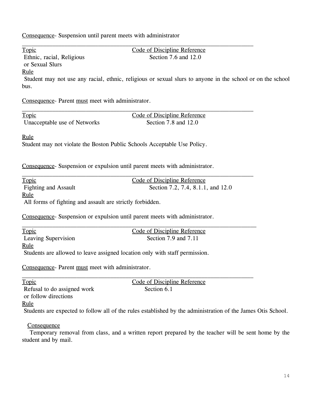Consequence- Suspension until parent meets with administrator

| Topic                                                     | Code of Discipline Reference                                                                                 |  |
|-----------------------------------------------------------|--------------------------------------------------------------------------------------------------------------|--|
| Ethnic, racial, Religious                                 | Section 7.6 and 12.0                                                                                         |  |
| or Sexual Slurs                                           |                                                                                                              |  |
| <u>Rule</u>                                               |                                                                                                              |  |
|                                                           | Student may not use any racial, ethnic, religious or sexual slurs to anyone in the school or on the school   |  |
| bus.                                                      |                                                                                                              |  |
| Consequence- Parent must meet with administrator.         |                                                                                                              |  |
|                                                           |                                                                                                              |  |
| <b>Topic</b>                                              | Code of Discipline Reference                                                                                 |  |
| Unacceptable use of Networks                              | Section 7.8 and 12.0                                                                                         |  |
|                                                           |                                                                                                              |  |
| <u>Rule</u>                                               |                                                                                                              |  |
|                                                           | Student may not violate the Boston Public Schools Acceptable Use Policy.                                     |  |
|                                                           |                                                                                                              |  |
|                                                           |                                                                                                              |  |
|                                                           | Consequence- Suspension or expulsion until parent meets with administrator.                                  |  |
| Topic                                                     | Code of Discipline Reference                                                                                 |  |
| <b>Fighting and Assault</b>                               | Section 7.2, 7.4, 8.1.1, and 12.0                                                                            |  |
| <u>Rule</u>                                               |                                                                                                              |  |
| All forms of fighting and assault are strictly forbidden. |                                                                                                              |  |
|                                                           |                                                                                                              |  |
|                                                           | Consequence- Suspension or expulsion until parent meets with administrator.                                  |  |
|                                                           |                                                                                                              |  |
| <b>Topic</b>                                              | Code of Discipline Reference                                                                                 |  |
| Leaving Supervision                                       | Section 7.9 and 7.11                                                                                         |  |
| <u>Rule</u>                                               |                                                                                                              |  |
|                                                           | Students are allowed to leave assigned location only with staff permission.                                  |  |
|                                                           |                                                                                                              |  |
| Consequence- Parent must meet with administrator          |                                                                                                              |  |
| Topic                                                     | Code of Discipline Reference                                                                                 |  |
| Refusal to do assigned work                               | Section 6.1                                                                                                  |  |
| or follow directions                                      |                                                                                                              |  |
| <u>Rule</u>                                               |                                                                                                              |  |
|                                                           | Students are expected to follow all of the rules established by the administration of the James Otis School. |  |
| Consequence                                               |                                                                                                              |  |
|                                                           | Temporary removal from class, and a written report prepared by the teacher will be sent home by the          |  |
| student and by mail.                                      |                                                                                                              |  |
|                                                           |                                                                                                              |  |
|                                                           |                                                                                                              |  |